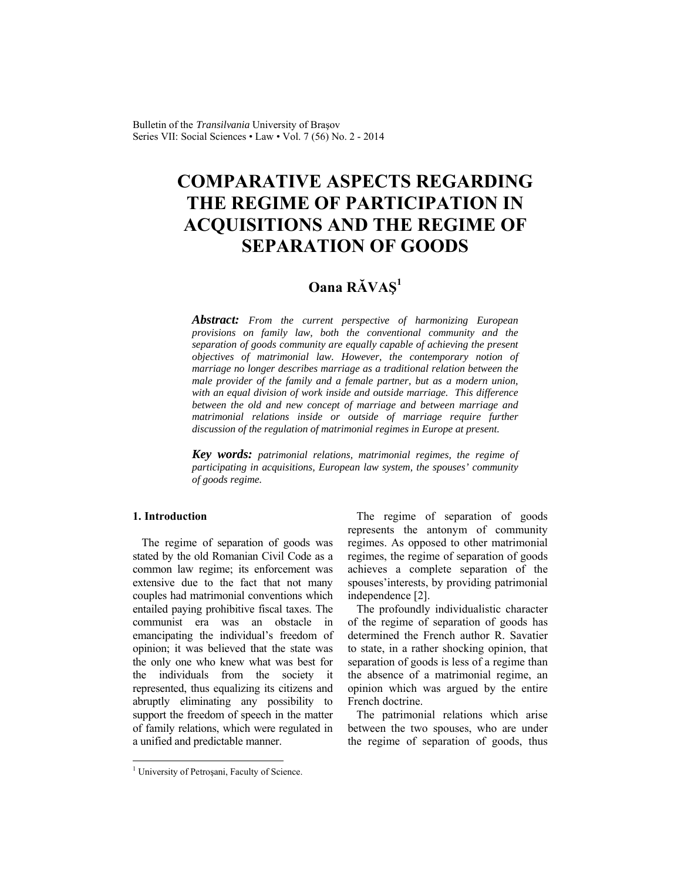Bulletin of the *Transilvania* University of Braşov Series VII: Social Sciences • Law • Vol. 7 (56) No. 2 - 2014

# **COMPARATIVE ASPECTS REGARDING THE REGIME OF PARTICIPATION IN ACQUISITIONS AND THE REGIME OF SEPARATION OF GOODS**

# **Oana RĂVAŞ<sup>1</sup>**

*Abstract: From the current perspective of harmonizing European provisions on family law, both the conventional community and the separation of goods community are equally capable of achieving the present objectives of matrimonial law. However, the contemporary notion of marriage no longer describes marriage as a traditional relation between the male provider of the family and a female partner, but as a modern union, with an equal division of work inside and outside marriage. This difference between the old and new concept of marriage and between marriage and matrimonial relations inside or outside of marriage require further discussion of the regulation of matrimonial regimes in Europe at present.* 

*Key words: patrimonial relations, matrimonial regimes, the regime of participating in acquisitions, European law system, the spouses' community of goods regime.* 

# **1. Introduction**

l

The regime of separation of goods was stated by the old Romanian Civil Code as a common law regime; its enforcement was extensive due to the fact that not many couples had matrimonial conventions which entailed paying prohibitive fiscal taxes. The communist era was an obstacle in emancipating the individual's freedom of opinion; it was believed that the state was the only one who knew what was best for the individuals from the society it represented, thus equalizing its citizens and abruptly eliminating any possibility to support the freedom of speech in the matter of family relations, which were regulated in a unified and predictable manner.

The regime of separation of goods represents the antonym of community regimes. As opposed to other matrimonial regimes, the regime of separation of goods achieves a complete separation of the spouses'interests, by providing patrimonial independence [2].

The profoundly individualistic character of the regime of separation of goods has determined the French author R. Savatier to state, in a rather shocking opinion, that separation of goods is less of a regime than the absence of a matrimonial regime, an opinion which was argued by the entire French doctrine.

The patrimonial relations which arise between the two spouses, who are under the regime of separation of goods, thus

<sup>&</sup>lt;sup>1</sup> University of Petroșani, Faculty of Science.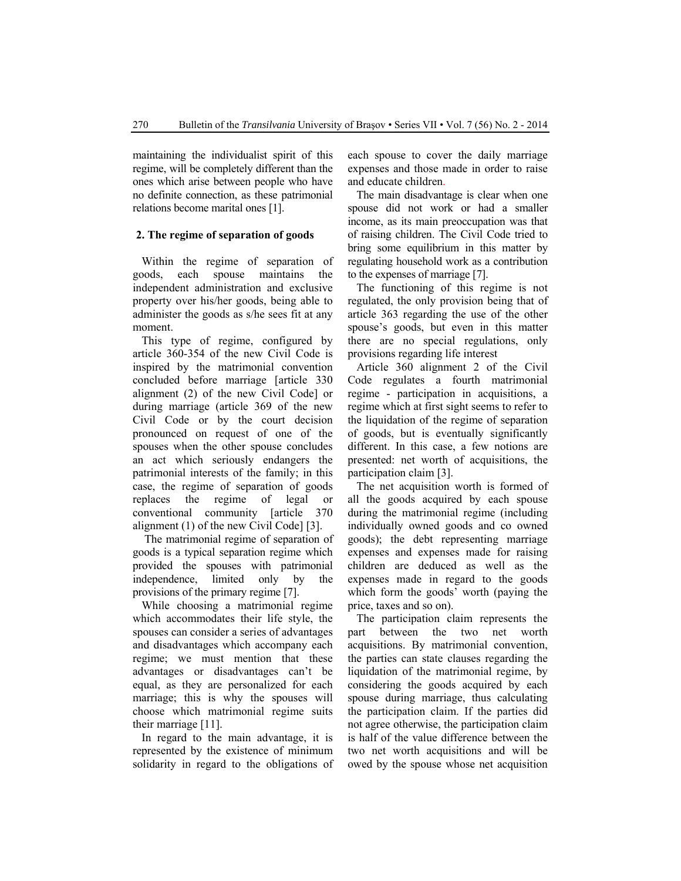maintaining the individualist spirit of this regime, will be completely different than the ones which arise between people who have no definite connection, as these patrimonial relations become marital ones [1].

#### **2. The regime of separation of goods**

Within the regime of separation of goods, each spouse maintains the independent administration and exclusive property over his/her goods, being able to administer the goods as s/he sees fit at any moment.

This type of regime, configured by article 360-354 of the new Civil Code is inspired by the matrimonial convention concluded before marriage [article 330 alignment (2) of the new Civil Code] or during marriage (article 369 of the new Civil Code or by the court decision pronounced on request of one of the spouses when the other spouse concludes an act which seriously endangers the patrimonial interests of the family; in this case, the regime of separation of goods replaces the regime of legal or conventional community [article 370 alignment (1) of the new Civil Code] [3].

 The matrimonial regime of separation of goods is a typical separation regime which provided the spouses with patrimonial independence, limited only by the provisions of the primary regime [7].

While choosing a matrimonial regime which accommodates their life style, the spouses can consider a series of advantages and disadvantages which accompany each regime; we must mention that these advantages or disadvantages can't be equal, as they are personalized for each marriage; this is why the spouses will choose which matrimonial regime suits their marriage [11].

In regard to the main advantage, it is represented by the existence of minimum solidarity in regard to the obligations of each spouse to cover the daily marriage expenses and those made in order to raise and educate children.

The main disadvantage is clear when one spouse did not work or had a smaller income, as its main preoccupation was that of raising children. The Civil Code tried to bring some equilibrium in this matter by regulating household work as a contribution to the expenses of marriage [7].

The functioning of this regime is not regulated, the only provision being that of article 363 regarding the use of the other spouse's goods, but even in this matter there are no special regulations, only provisions regarding life interest

Article 360 alignment 2 of the Civil Code regulates a fourth matrimonial regime - participation in acquisitions, a regime which at first sight seems to refer to the liquidation of the regime of separation of goods, but is eventually significantly different. In this case, a few notions are presented: net worth of acquisitions, the participation claim [3].

The net acquisition worth is formed of all the goods acquired by each spouse during the matrimonial regime (including individually owned goods and co owned goods); the debt representing marriage expenses and expenses made for raising children are deduced as well as the expenses made in regard to the goods which form the goods' worth (paying the price, taxes and so on).

The participation claim represents the part between the two net worth acquisitions. By matrimonial convention, the parties can state clauses regarding the liquidation of the matrimonial regime, by considering the goods acquired by each spouse during marriage, thus calculating the participation claim. If the parties did not agree otherwise, the participation claim is half of the value difference between the two net worth acquisitions and will be owed by the spouse whose net acquisition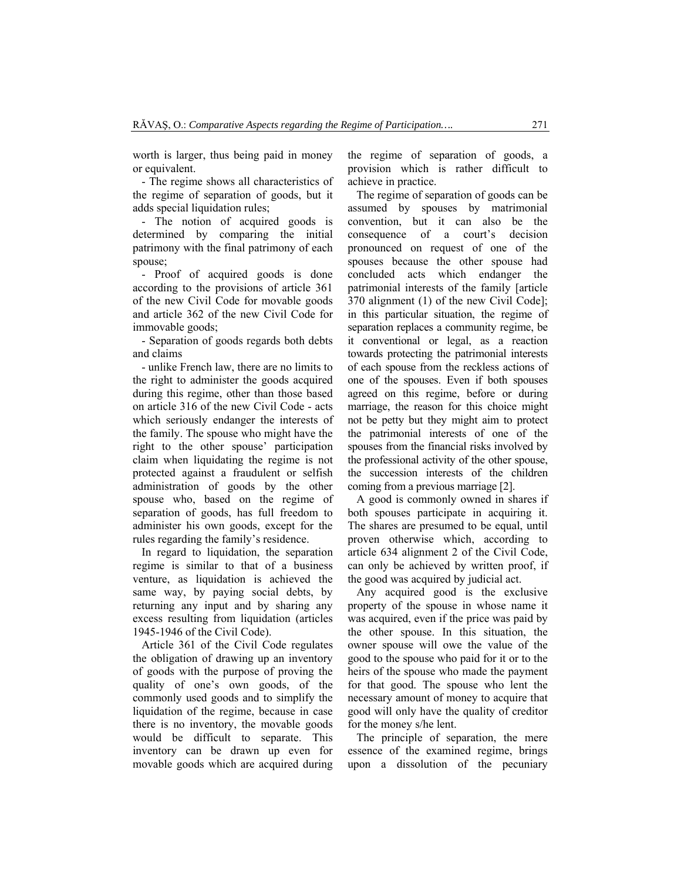worth is larger, thus being paid in money or equivalent.

- The regime shows all characteristics of the regime of separation of goods, but it adds special liquidation rules;

- The notion of acquired goods is determined by comparing the initial patrimony with the final patrimony of each spouse;

- Proof of acquired goods is done according to the provisions of article 361 of the new Civil Code for movable goods and article 362 of the new Civil Code for immovable goods;

- Separation of goods regards both debts and claims

- unlike French law, there are no limits to the right to administer the goods acquired during this regime, other than those based on article 316 of the new Civil Code - acts which seriously endanger the interests of the family. The spouse who might have the right to the other spouse' participation claim when liquidating the regime is not protected against a fraudulent or selfish administration of goods by the other spouse who, based on the regime of separation of goods, has full freedom to administer his own goods, except for the rules regarding the family's residence.

In regard to liquidation, the separation regime is similar to that of a business venture, as liquidation is achieved the same way, by paying social debts, by returning any input and by sharing any excess resulting from liquidation (articles 1945-1946 of the Civil Code).

Article 361 of the Civil Code regulates the obligation of drawing up an inventory of goods with the purpose of proving the quality of one's own goods, of the commonly used goods and to simplify the liquidation of the regime, because in case there is no inventory, the movable goods would be difficult to separate. This inventory can be drawn up even for movable goods which are acquired during the regime of separation of goods, a provision which is rather difficult to achieve in practice.

The regime of separation of goods can be assumed by spouses by matrimonial convention, but it can also be the consequence of a court's decision pronounced on request of one of the spouses because the other spouse had concluded acts which endanger the patrimonial interests of the family [article 370 alignment (1) of the new Civil Code]; in this particular situation, the regime of separation replaces a community regime, be it conventional or legal, as a reaction towards protecting the patrimonial interests of each spouse from the reckless actions of one of the spouses. Even if both spouses agreed on this regime, before or during marriage, the reason for this choice might not be petty but they might aim to protect the patrimonial interests of one of the spouses from the financial risks involved by the professional activity of the other spouse, the succession interests of the children coming from a previous marriage [2].

A good is commonly owned in shares if both spouses participate in acquiring it. The shares are presumed to be equal, until proven otherwise which, according to article 634 alignment 2 of the Civil Code, can only be achieved by written proof, if the good was acquired by judicial act.

Any acquired good is the exclusive property of the spouse in whose name it was acquired, even if the price was paid by the other spouse. In this situation, the owner spouse will owe the value of the good to the spouse who paid for it or to the heirs of the spouse who made the payment for that good. The spouse who lent the necessary amount of money to acquire that good will only have the quality of creditor for the money s/he lent.

The principle of separation, the mere essence of the examined regime, brings upon a dissolution of the pecuniary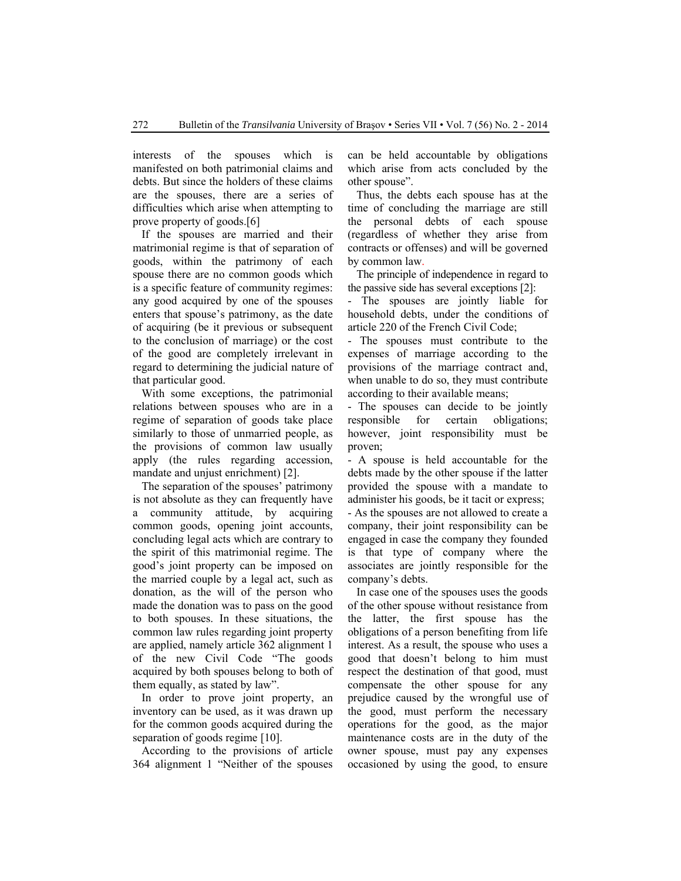interests of the spouses which is manifested on both patrimonial claims and debts. But since the holders of these claims are the spouses, there are a series of difficulties which arise when attempting to prove property of goods.[6]

If the spouses are married and their matrimonial regime is that of separation of goods, within the patrimony of each spouse there are no common goods which is a specific feature of community regimes: any good acquired by one of the spouses enters that spouse's patrimony, as the date of acquiring (be it previous or subsequent to the conclusion of marriage) or the cost of the good are completely irrelevant in regard to determining the judicial nature of that particular good.

With some exceptions, the patrimonial relations between spouses who are in a regime of separation of goods take place similarly to those of unmarried people, as the provisions of common law usually apply (the rules regarding accession, mandate and unjust enrichment) [2].

The separation of the spouses' patrimony is not absolute as they can frequently have a community attitude, by acquiring common goods, opening joint accounts, concluding legal acts which are contrary to the spirit of this matrimonial regime. The good's joint property can be imposed on the married couple by a legal act, such as donation, as the will of the person who made the donation was to pass on the good to both spouses. In these situations, the common law rules regarding joint property are applied, namely article 362 alignment 1 of the new Civil Code "The goods acquired by both spouses belong to both of them equally, as stated by law".

In order to prove joint property, an inventory can be used, as it was drawn up for the common goods acquired during the separation of goods regime [10].

According to the provisions of article 364 alignment 1 "Neither of the spouses can be held accountable by obligations which arise from acts concluded by the other spouse".

Thus, the debts each spouse has at the time of concluding the marriage are still the personal debts of each spouse (regardless of whether they arise from contracts or offenses) and will be governed by common law.

The principle of independence in regard to the passive side has several exceptions [2]:

- The spouses are jointly liable for household debts, under the conditions of article 220 of the French Civil Code;

- The spouses must contribute to the expenses of marriage according to the provisions of the marriage contract and, when unable to do so, they must contribute according to their available means;

- The spouses can decide to be jointly responsible for certain obligations; however, joint responsibility must be proven;

- A spouse is held accountable for the debts made by the other spouse if the latter provided the spouse with a mandate to administer his goods, be it tacit or express;

- As the spouses are not allowed to create a company, their joint responsibility can be engaged in case the company they founded is that type of company where the associates are jointly responsible for the company's debts.

In case one of the spouses uses the goods of the other spouse without resistance from the latter, the first spouse has the obligations of a person benefiting from life interest. As a result, the spouse who uses a good that doesn't belong to him must respect the destination of that good, must compensate the other spouse for any prejudice caused by the wrongful use of the good, must perform the necessary operations for the good, as the major maintenance costs are in the duty of the owner spouse, must pay any expenses occasioned by using the good, to ensure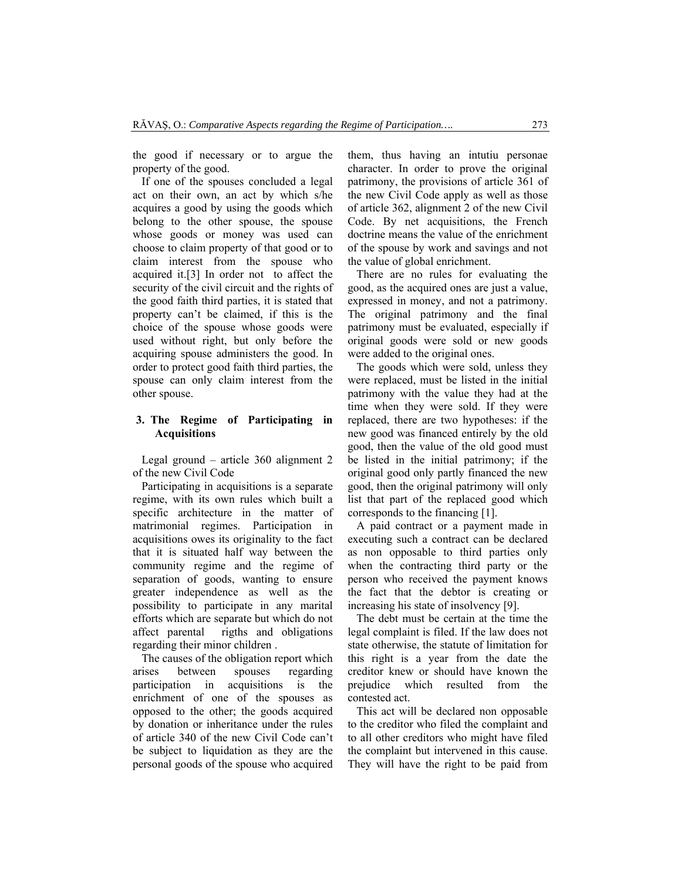the good if necessary or to argue the property of the good.

If one of the spouses concluded a legal act on their own, an act by which s/he acquires a good by using the goods which belong to the other spouse, the spouse whose goods or money was used can choose to claim property of that good or to claim interest from the spouse who acquired it.[3] In order not to affect the security of the civil circuit and the rights of the good faith third parties, it is stated that property can't be claimed, if this is the choice of the spouse whose goods were used without right, but only before the acquiring spouse administers the good. In order to protect good faith third parties, the spouse can only claim interest from the other spouse.

## **3. The Regime of Participating in Acquisitions**

Legal ground – article 360 alignment 2 of the new Civil Code

Participating in acquisitions is a separate regime, with its own rules which built a specific architecture in the matter of matrimonial regimes. Participation in acquisitions owes its originality to the fact that it is situated half way between the community regime and the regime of separation of goods, wanting to ensure greater independence as well as the possibility to participate in any marital efforts which are separate but which do not affect parental rigths and obligations regarding their minor children .

The causes of the obligation report which arises between spouses regarding participation in acquisitions is the enrichment of one of the spouses as opposed to the other; the goods acquired by donation or inheritance under the rules of article 340 of the new Civil Code can't be subject to liquidation as they are the personal goods of the spouse who acquired them, thus having an intutiu personae character. In order to prove the original patrimony, the provisions of article 361 of the new Civil Code apply as well as those of article 362, alignment 2 of the new Civil Code. By net acquisitions, the French doctrine means the value of the enrichment of the spouse by work and savings and not the value of global enrichment.

There are no rules for evaluating the good, as the acquired ones are just a value, expressed in money, and not a patrimony. The original patrimony and the final patrimony must be evaluated, especially if original goods were sold or new goods were added to the original ones.

The goods which were sold, unless they were replaced, must be listed in the initial patrimony with the value they had at the time when they were sold. If they were replaced, there are two hypotheses: if the new good was financed entirely by the old good, then the value of the old good must be listed in the initial patrimony; if the original good only partly financed the new good, then the original patrimony will only list that part of the replaced good which corresponds to the financing [1].

A paid contract or a payment made in executing such a contract can be declared as non opposable to third parties only when the contracting third party or the person who received the payment knows the fact that the debtor is creating or increasing his state of insolvency [9].

The debt must be certain at the time the legal complaint is filed. If the law does not state otherwise, the statute of limitation for this right is a year from the date the creditor knew or should have known the prejudice which resulted from the contested act.

This act will be declared non opposable to the creditor who filed the complaint and to all other creditors who might have filed the complaint but intervened in this cause. They will have the right to be paid from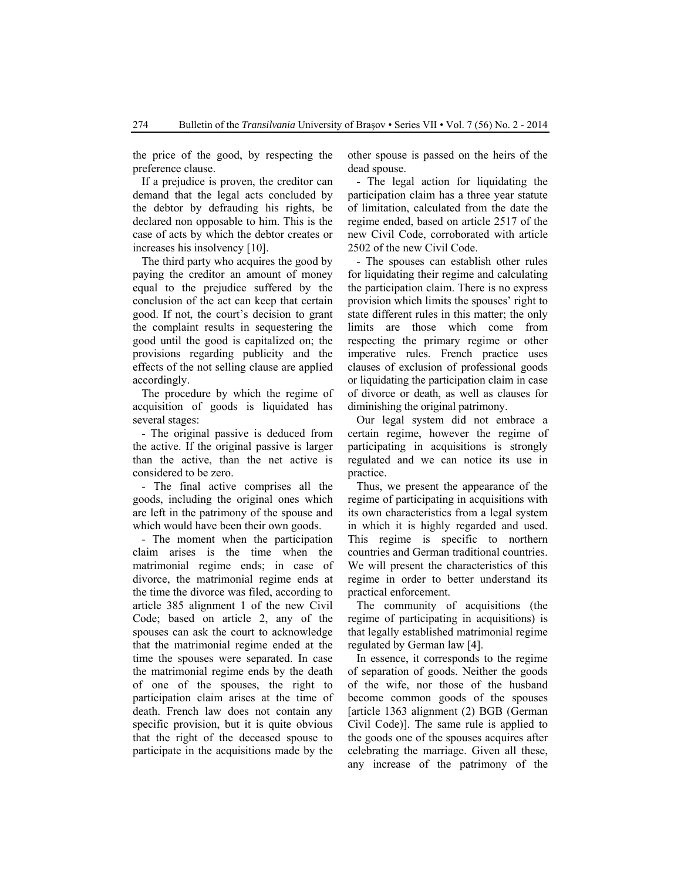the price of the good, by respecting the preference clause.

If a prejudice is proven, the creditor can demand that the legal acts concluded by the debtor by defrauding his rights, be declared non opposable to him. This is the case of acts by which the debtor creates or increases his insolvency [10].

The third party who acquires the good by paying the creditor an amount of money equal to the prejudice suffered by the conclusion of the act can keep that certain good. If not, the court's decision to grant the complaint results in sequestering the good until the good is capitalized on; the provisions regarding publicity and the effects of the not selling clause are applied accordingly.

The procedure by which the regime of acquisition of goods is liquidated has several stages:

- The original passive is deduced from the active. If the original passive is larger than the active, than the net active is considered to be zero.

- The final active comprises all the goods, including the original ones which are left in the patrimony of the spouse and which would have been their own goods.

- The moment when the participation claim arises is the time when the matrimonial regime ends; in case of divorce, the matrimonial regime ends at the time the divorce was filed, according to article 385 alignment 1 of the new Civil Code; based on article 2, any of the spouses can ask the court to acknowledge that the matrimonial regime ended at the time the spouses were separated. In case the matrimonial regime ends by the death of one of the spouses, the right to participation claim arises at the time of death. French law does not contain any specific provision, but it is quite obvious that the right of the deceased spouse to participate in the acquisitions made by the other spouse is passed on the heirs of the dead spouse.

- The legal action for liquidating the participation claim has a three year statute of limitation, calculated from the date the regime ended, based on article 2517 of the new Civil Code, corroborated with article 2502 of the new Civil Code.

- The spouses can establish other rules for liquidating their regime and calculating the participation claim. There is no express provision which limits the spouses' right to state different rules in this matter; the only limits are those which come from respecting the primary regime or other imperative rules. French practice uses clauses of exclusion of professional goods or liquidating the participation claim in case of divorce or death, as well as clauses for diminishing the original patrimony.

Our legal system did not embrace a certain regime, however the regime of participating in acquisitions is strongly regulated and we can notice its use in practice.

Thus, we present the appearance of the regime of participating in acquisitions with its own characteristics from a legal system in which it is highly regarded and used. This regime is specific to northern countries and German traditional countries. We will present the characteristics of this regime in order to better understand its practical enforcement.

The community of acquisitions (the regime of participating in acquisitions) is that legally established matrimonial regime regulated by German law [4].

In essence, it corresponds to the regime of separation of goods. Neither the goods of the wife, nor those of the husband become common goods of the spouses [article 1363 alignment (2) BGB (German Civil Code)]. The same rule is applied to the goods one of the spouses acquires after celebrating the marriage. Given all these, any increase of the patrimony of the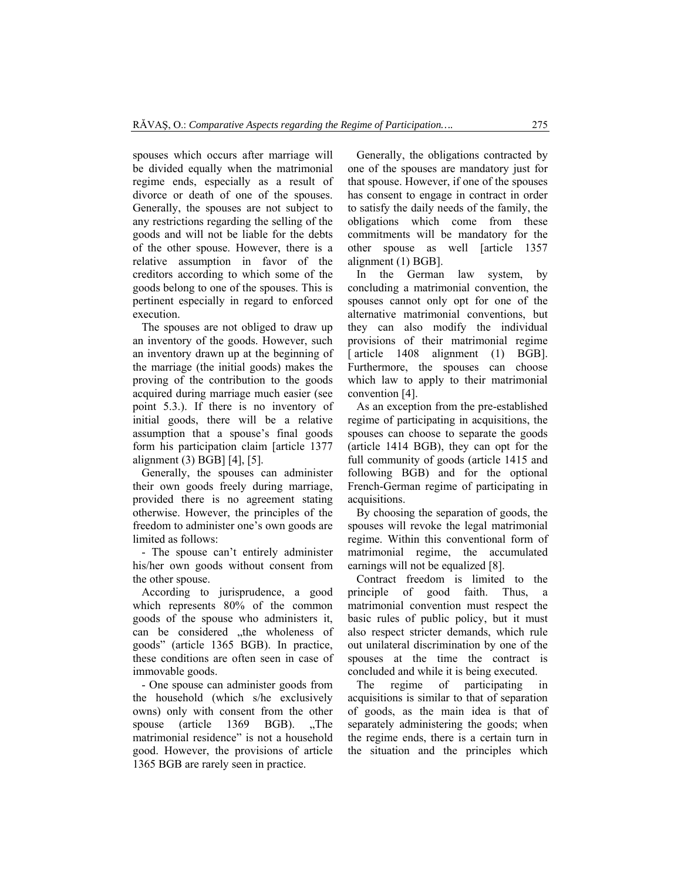spouses which occurs after marriage will be divided equally when the matrimonial regime ends, especially as a result of divorce or death of one of the spouses. Generally, the spouses are not subject to any restrictions regarding the selling of the goods and will not be liable for the debts of the other spouse. However, there is a relative assumption in favor of the creditors according to which some of the goods belong to one of the spouses. This is pertinent especially in regard to enforced execution.

The spouses are not obliged to draw up an inventory of the goods. However, such an inventory drawn up at the beginning of the marriage (the initial goods) makes the proving of the contribution to the goods acquired during marriage much easier (see point 5.3.). If there is no inventory of initial goods, there will be a relative assumption that a spouse's final goods form his participation claim [article 1377 alignment (3) BGB] [4], [5].

Generally, the spouses can administer their own goods freely during marriage, provided there is no agreement stating otherwise. However, the principles of the freedom to administer one's own goods are limited as follows:

- The spouse can't entirely administer his/her own goods without consent from the other spouse.

According to jurisprudence, a good which represents 80% of the common goods of the spouse who administers it, can be considered "the wholeness of goods" (article 1365 BGB). In practice, these conditions are often seen in case of immovable goods.

- One spouse can administer goods from the household (which s/he exclusively owns) only with consent from the other spouse (article  $1369$  BGB). The matrimonial residence" is not a household good. However, the provisions of article 1365 BGB are rarely seen in practice.

Generally, the obligations contracted by one of the spouses are mandatory just for that spouse. However, if one of the spouses has consent to engage in contract in order to satisfy the daily needs of the family, the obligations which come from these commitments will be mandatory for the other spouse as well [article 1357 alignment (1) BGB].

In the German law system, by concluding a matrimonial convention, the spouses cannot only opt for one of the alternative matrimonial conventions, but they can also modify the individual provisions of their matrimonial regime [article 1408 alignment (1) BGB]. Furthermore, the spouses can choose which law to apply to their matrimonial convention [4].

As an exception from the pre-established regime of participating in acquisitions, the spouses can choose to separate the goods (article 1414 BGB), they can opt for the full community of goods (article 1415 and following BGB) and for the optional French-German regime of participating in acquisitions.

By choosing the separation of goods, the spouses will revoke the legal matrimonial regime. Within this conventional form of matrimonial regime, the accumulated earnings will not be equalized [8].

Contract freedom is limited to the principle of good faith. Thus, a matrimonial convention must respect the basic rules of public policy, but it must also respect stricter demands, which rule out unilateral discrimination by one of the spouses at the time the contract is concluded and while it is being executed.

The regime of participating in acquisitions is similar to that of separation of goods, as the main idea is that of separately administering the goods; when the regime ends, there is a certain turn in the situation and the principles which